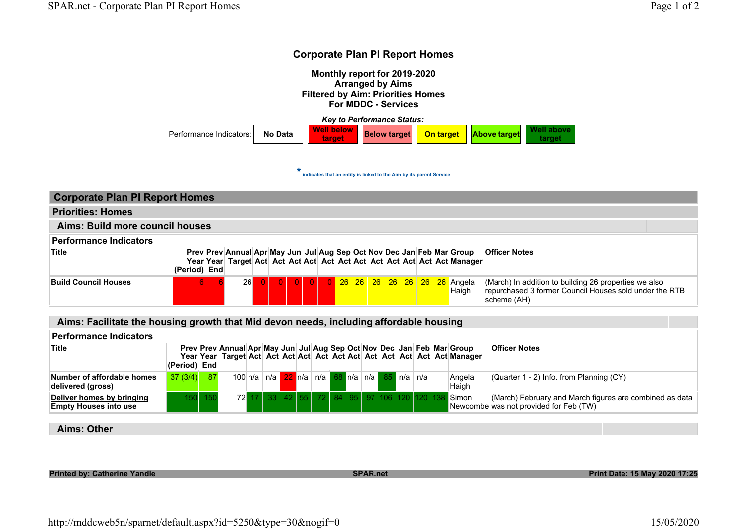## Corporate Plan PI Report Homes

Monthly report for 2019-2020 Arranged by Aims Filtered by Aim: Priorities Homes For MDDC - Services

Key to Performance Status: Performance Indicators: No Data Well below Below target **On target Above target** Well above target

\* indicates that an entity is linked to the Aim by its parent Service

| <b>Corporate Plan PI Report Homes</b> |              |  |                                                                        |  |  |  |  |  |  |  |  |  |  |                                                   |                                                                                                                                |
|---------------------------------------|--------------|--|------------------------------------------------------------------------|--|--|--|--|--|--|--|--|--|--|---------------------------------------------------|--------------------------------------------------------------------------------------------------------------------------------|
| <b>Priorities: Homes</b>              |              |  |                                                                        |  |  |  |  |  |  |  |  |  |  |                                                   |                                                                                                                                |
| Aims: Build more council houses       |              |  |                                                                        |  |  |  |  |  |  |  |  |  |  |                                                   |                                                                                                                                |
| <b>Performance Indicators</b>         |              |  |                                                                        |  |  |  |  |  |  |  |  |  |  |                                                   |                                                                                                                                |
| <b>Title</b>                          | (Period) End |  | Prev Prev Annual Apr May Jun Jul Aug Sep Oct Nov Dec Jan Feb Mar Group |  |  |  |  |  |  |  |  |  |  |                                                   | <b>Officer Notes</b>                                                                                                           |
| <b>Build Council Houses</b>           | 61           |  | <b>26</b>                                                              |  |  |  |  |  |  |  |  |  |  | 0 0 0 0 0 26 26 26 26 26 26 26 26 Angela<br>Haigh | (March) In addition to building 26 properties we also<br>repurchased 3 former Council Houses sold under the RTB<br>scheme (AH) |

Aims: Facilitate the housing growth that Mid devon needs, including affordable housing

| <b>Performance Indicators</b>                             |              |         |                                                                  |         |          |  |    |  |                                 |  |  |                                                                        |                                                                                                   |
|-----------------------------------------------------------|--------------|---------|------------------------------------------------------------------|---------|----------|--|----|--|---------------------------------|--|--|------------------------------------------------------------------------|---------------------------------------------------------------------------------------------------|
| <b>Title</b>                                              | (Period) End |         |                                                                  |         |          |  |    |  |                                 |  |  | Prev Prev Annual Apr May Jun Jul Aug Sep Oct Nov Dec Jan Feb Mar Group | <b>Officer Notes</b>                                                                              |
| Number of affordable homes<br>delivered (aross)           | $37(3/4)$ 87 |         | 100 n/a   n/a   22   n/a   n/a   68   n/a   n/a   85   n/a   n/a |         |          |  |    |  |                                 |  |  | Angela<br>Haigh                                                        | $\vert$ (Quarter 1 - 2) Info. from Planning (CY)                                                  |
| Deliver homes by bringing<br><b>Empty Houses into use</b> |              | 150 150 |                                                                  | 72 17 L | 33 42 55 |  | 72 |  | 84   95   97  106  120  120  13 |  |  | Simon                                                                  | (March) February and March figures are combined as data<br>Newcombe was not provided for Feb (TW) |
|                                                           |              |         |                                                                  |         |          |  |    |  |                                 |  |  |                                                                        |                                                                                                   |

Aims: Other

Printed by: Catherine Yandle National Search SPAR.net SPAR.net Print Date: 15 May 2020 17:25